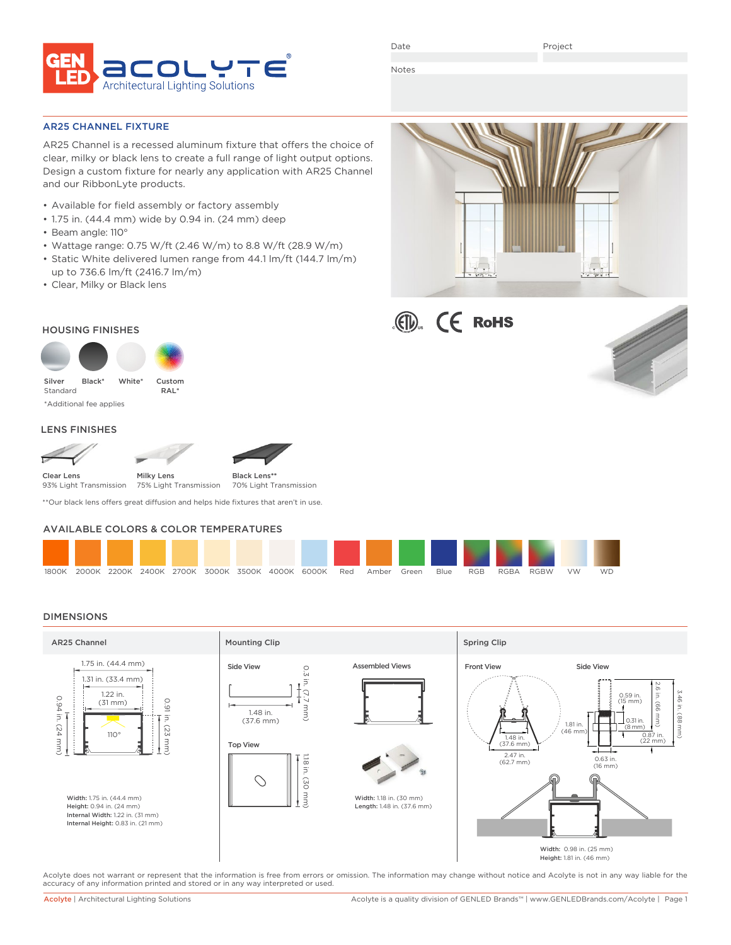

Date

Project

Notes

### AR25 CHANNEL FIXTURE

AR25 Channel is a recessed aluminum fixture that offers the choice of clear, milky or black lens to create a full range of light output options. Design a custom fixture for nearly any application with AR25 Channel and our RibbonLyte products.

- Available for field assembly or factory assembly
- 1.75 in. (44.4 mm) wide by 0.94 in. (24 mm) deep
- Beam angle: 110°
- Wattage range: 0.75 W/ft (2.46 W/m) to 8.8 W/ft (28.9 W/m)
- Static White delivered lumen range from 44.1 lm/ft (144.7 lm/m) up to 736.6 lm/ft (2416.7 lm/m)
- Clear, Milky or Black lens







### HOUSING FINISHES



\*Additional fee applies

### LENS FINISHES



Black Lens**\*\***

75% Light Transmission 70% Light Transmission

\*\*Our black lens offers great diffusion and helps hide fixtures that aren't in use.

# AVAILABLE COLORS & COLOR TEMPERATURES



## DIMENSIONS



Acolyte does not warrant or represent that the information is free from errors or omission. The information may change without notice and Acolyte is not in any way liable for the accuracy of any information printed and stored or in any way interpreted or used.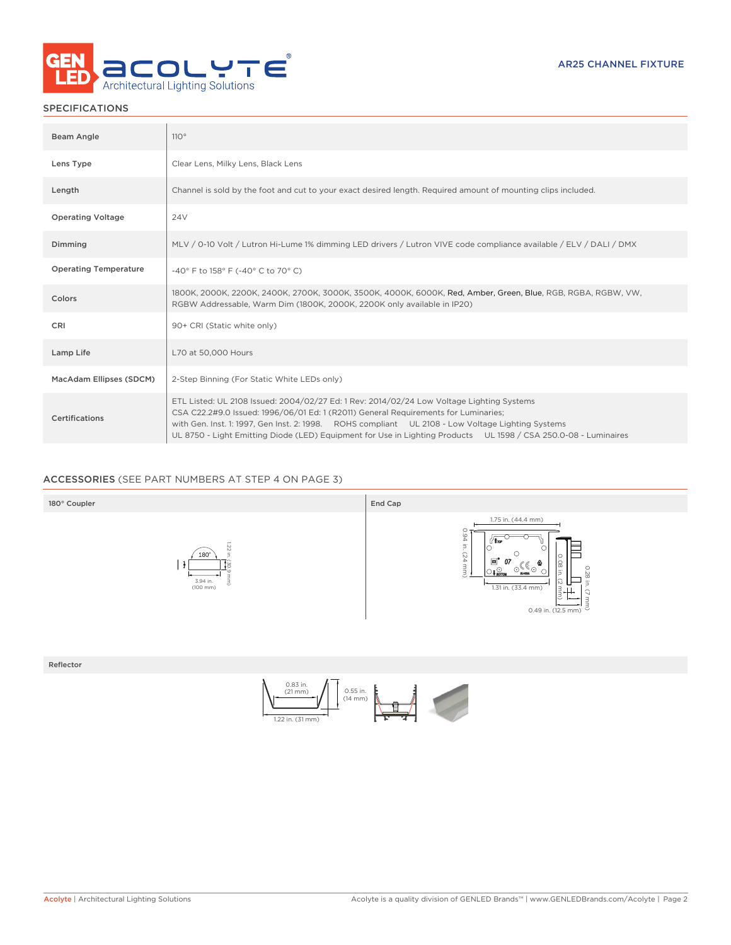

# SPECIFICATIONS

| <b>Beam Angle</b>            | 110°                                                                                                                                                                                                                                                                                                                                                                                                     |
|------------------------------|----------------------------------------------------------------------------------------------------------------------------------------------------------------------------------------------------------------------------------------------------------------------------------------------------------------------------------------------------------------------------------------------------------|
| Lens Type                    | Clear Lens, Milky Lens, Black Lens                                                                                                                                                                                                                                                                                                                                                                       |
| Length                       | Channel is sold by the foot and cut to your exact desired length. Required amount of mounting clips included.                                                                                                                                                                                                                                                                                            |
| <b>Operating Voltage</b>     | 24 <sub>V</sub>                                                                                                                                                                                                                                                                                                                                                                                          |
| Dimming                      | MLV / 0-10 Volt / Lutron Hi-Lume 1% dimming LED drivers / Lutron VIVE code compliance available / ELV / DALI / DMX                                                                                                                                                                                                                                                                                       |
| <b>Operating Temperature</b> | -40° F to 158° F (-40° C to 70° C)                                                                                                                                                                                                                                                                                                                                                                       |
| Colors                       | 1800K, 2000K, 2200K, 2400K, 2700K, 3000K, 3500K, 4000K, 6000K, Red, Amber, Green, Blue, RGB, RGBA, RGBW, VW,<br>RGBW Addressable, Warm Dim (1800K, 2000K, 2200K only available in IP20)                                                                                                                                                                                                                  |
| CRI                          | 90+ CRI (Static white only)                                                                                                                                                                                                                                                                                                                                                                              |
| Lamp Life                    | L70 at 50,000 Hours                                                                                                                                                                                                                                                                                                                                                                                      |
| MacAdam Ellipses (SDCM)      | 2-Step Binning (For Static White LEDs only)                                                                                                                                                                                                                                                                                                                                                              |
| <b>Certifications</b>        | ETL Listed: UL 2108 Issued: 2004/02/27 Ed: 1 Rev: 2014/02/24 Low Voltage Lighting Systems<br>CSA C22.2#9.0 Issued: 1996/06/01 Ed: 1 (R2011) General Requirements for Luminaries;<br>with Gen. Inst. 1: 1997, Gen Inst. 2: 1998. ROHS compliant UL 2108 - Low Voltage Lighting Systems<br>UL 8750 - Light Emitting Diode (LED) Equipment for Use in Lighting Products UL 1598 / CSA 250.0-08 - Luminaires |

# ACCESSORIES (SEE PART NUMBERS AT STEP 4 ON PAGE 3)



Reflector

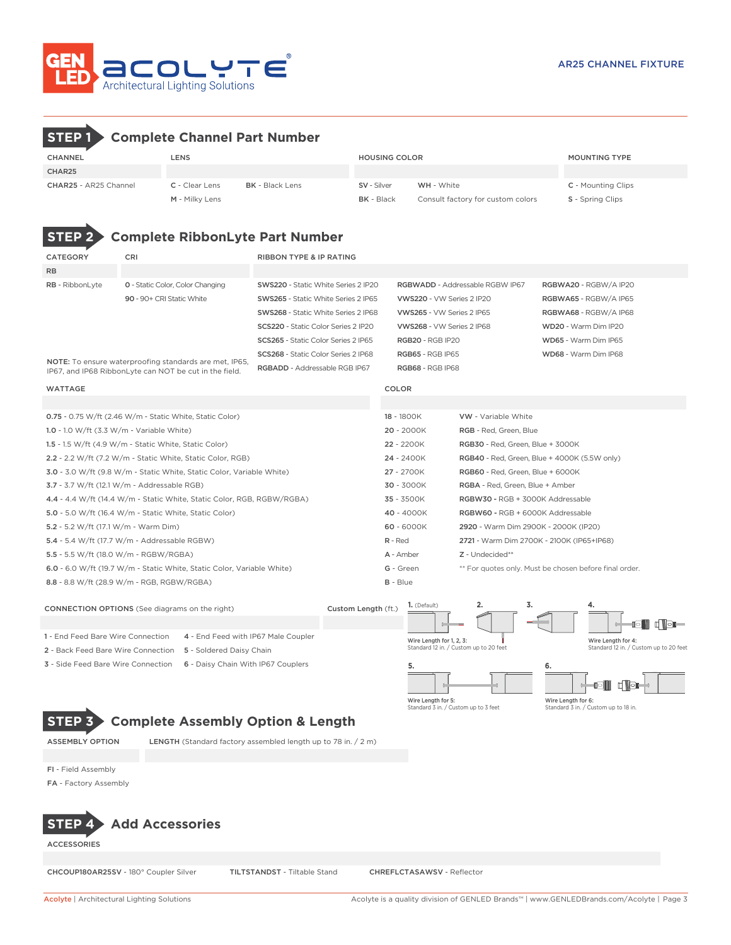

# **STEP 1 Complete Channel Part Number**

| CHANNEL                      | <b>LENS</b>                              |  | <b>HOUSING COLOR</b> |                                   | <b>MOUNTING TYPE</b>      |  |  |
|------------------------------|------------------------------------------|--|----------------------|-----------------------------------|---------------------------|--|--|
| CHAR25                       |                                          |  |                      |                                   |                           |  |  |
| <b>CHAR25 - AR25 Channel</b> | <b>BK</b> - Black Lens<br>C - Clear Lens |  | SV - Silver          | <b>WH</b> - White                 | <b>C</b> - Mounting Clips |  |  |
|                              | M - Milky Lens                           |  | <b>BK</b> - Black    | Consult factory for custom colors | <b>S</b> - Spring Clips   |  |  |

wattage colors and the color of the color color colors and the color colors of the color 0.75 - 0.75 W/ft (2.46 W/m - Static White, Static Color) 18 - 1800K VW - Variable White 1.0 - 1.0 W/ft (3.3 W/m - Variable White) 20 - 2000K RGB - Red, Green, Blue 1.5 - 1.5 W/ft (4.9 W/m - Static White, Static Color) 22 - 2200K RGB30 - Red, Green, Blue + 3000K 2.2 - 2.2 W/ft (7.2 W/m - Static White, Static Color, RGB) 24 - 2400K RGB40 - Red, Green, Blue + 4000K (5.5W only) 3.0 - 3.0 W/ft (9.8 W/m - Static White, Static Color, Variable White) 27 - 2700K RGB60 - Red, Green, Blue + 6000K 3.7 - 3.7 W/ft (12.1 W/m - Addressable RGB) 30 - 3000K RGBA - Red, Green, Blue + Amber 4.4 - 4.4 W/ft (14.4 W/m - Static White, Static Color, RGB, RGBW/RGBA) 35 - 3500K RGBW30 - RGB + 3000K Addressable 5.0 - 5.0 W/ft (16.4 W/m - Static White, Static Color) 40 - 4000K RGBW60 - RGB + 6000K Addressable 5.2 - 5.2 W/ft (17.1 W/m - Warm Dim) 60 - 6000K 2920 - Warm Dim 2900K - 2000K (IP20) 5.4 - 5.4 W/ft (17.7 W/m - Addressable RGBW) R - Red 2721 - Warm Dim 2700K - 2100K (IP65+IP68) 5.5 - 5.5 W/ft (18.0 W/m - RGBW/RGBA) <br>
A - Amber  $Z$  - Undecided\*\* 6.0 - 6.0 W/ft (19.7 W/m - Static White, Static Color, Variable White) G - Green \*\* For quotes only. Must be chosen before final order. 8.8 - 8.8 W/ft (28.9 W/m - RGB, RGBW/RGBA) B - Blue CATEGORY CRI CRI RIBBON TYPE & IP RATING RB RB - RibbonLyte 0 - Static Color, Color Changing SWS220 - Static White Series 2 IP20 RGBWADD - Addressable RGBW IP67 RGBWA20 - RGBWA10 IP20 90 - 90+ CRI Static White SWS265 - Static White Series 2 IP65 VWS220 - VW Series 2 IP20 RGBWA65 - RGBW/A IP65 SWS268 - Static White Series 2 IP68 VWS265 - VW Series 2 IP65 RGBWA68 - RGBW/A IP68 SCS220 - Static Color Series 2 IP20 VWS268 - VW Series 2 IP68 WD20 - Warm Dim IP20 SCS265 - Static Color Series 2 IP65 RGB20 - RGB IP20 WD65 - Warm Dim IP65 SCS268 - Static Color Series 2 IP68 RGB65 - RGB IP65 WD68 - Warm Dim IP68 RGBADD - Addressable RGB IP67 RGB68 - RGB IP68 **STEP 2 Complete RibbonLyte Part Number** NOTE: To ensure waterproofing standards are met, IP65, IP67, and IP68 RibbonLyte can NOT be cut in the field.

**1.** (Default) **2. 3. 4.** CONNECTION OPTIONS (See diagrams on the right) Custom Length (ft.) i dige 1 - End Feed Bare Wire Connection 4 - End Feed with IP67 Male Coupler Wire Length for 1, 2, 3: Wire Length for 4 Standard 12 in. / Custom up to 20 fe Standard 12 in. / Custom up to 20 feet 2 - Back Feed Bare Wire Connection 5 - Soldered Daisy Chain 3 - Side Feed Bare Wire Connection 6 - Daisy Chain With IP67 Couplers **5. 6.** Wire Length for 5: Wire Length for 6: Standard 3 in. / Custom up to 3 feet Standard 3 in. / Custom up to 18 in.

# **STEP 3 Complete Assembly Option & Length**

ASSEMBLY OPTION LENGTH (Standard factory assembled length up to 78 in. / 2 m)

FI - Field Assembly

FA - Factory Assembly

# **STEP 4 Add Accessories**

**ACCESSORIES** 

CHCOUP180AR25SV - 180° Coupler Silver TILTSTANDST - Tiltable Stand CHREFLCTASAWSV - Reflector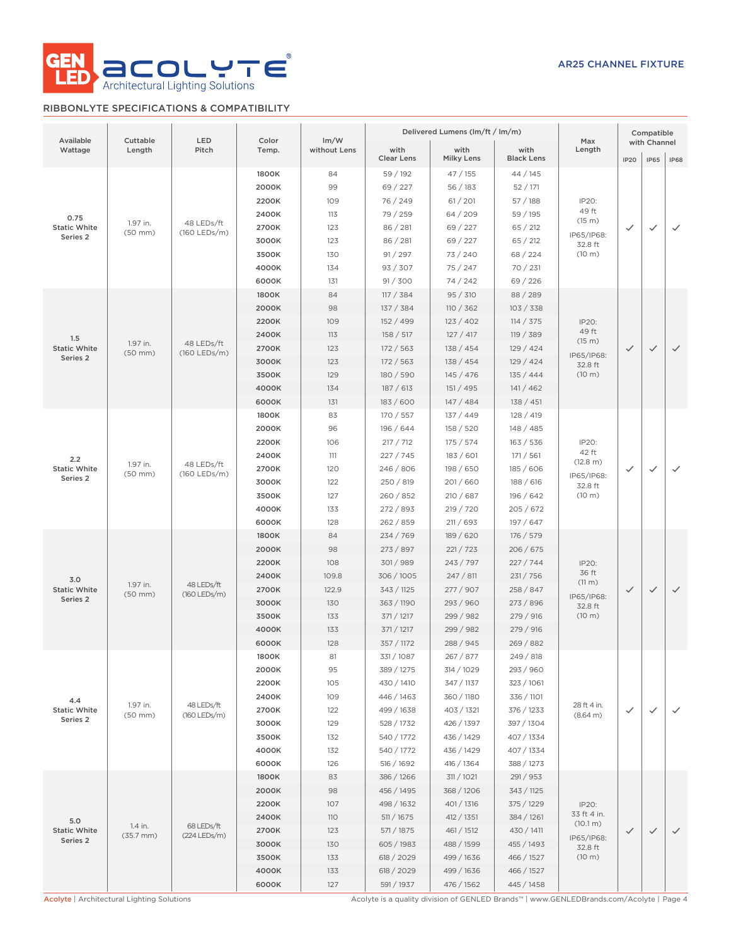

# RIBBONLYTE SPECIFICATIONS & COMPATIBILITY

|                                 |                          |                            |                |                      |                           | Delivered Lumens (lm/ft / lm/m) |                           |                                            | Compatible   |                             |              |              |
|---------------------------------|--------------------------|----------------------------|----------------|----------------------|---------------------------|---------------------------------|---------------------------|--------------------------------------------|--------------|-----------------------------|--------------|--------------|
| Available<br>Wattage            | Cuttable<br>Length       | LED<br>Pitch               | Color<br>Temp. | Im/W<br>without Lens | with<br><b>Clear Lens</b> | with<br><b>Milky Lens</b>       | with<br><b>Black Lens</b> | Max<br>Length                              | <b>IP20</b>  | with Channel<br><b>IP65</b> | <b>IP68</b>  |              |
|                                 |                          |                            | 1800K          | 84                   | 59 / 192                  | 47 / 155                        | 44/145                    |                                            |              |                             |              |              |
|                                 |                          |                            | 2000K          | 99                   | 69 / 227                  | 56/183                          | 52 / 171                  |                                            |              |                             |              |              |
|                                 |                          |                            | 2200K          | 109                  | 76 / 249                  | 61 / 201                        | 57/188                    | IP20:<br>49 ft                             |              |                             |              |              |
| 0.75<br><b>Static White</b>     | 1.97 in.                 | 48 LEDs/ft<br>(160 LEDs/m) | 2400K<br>2700K | 113                  | 79 / 259                  | 64/209                          | 59 / 195                  | (15 m)                                     |              | $\checkmark$                |              |              |
| Series 2                        | $(50$ mm $)$             |                            |                | 3000K                | 123<br>123                | 86 / 281<br>86 / 281            | 69 / 227<br>69 / 227      | 65 / 212<br>65 / 212                       | IP65/IP68:   | $\checkmark$                |              | $\checkmark$ |
|                                 |                          |                            | 3500K          | 130                  | 91 / 297                  | 73 / 240                        | 68 / 224                  | 32.8 ft<br>(10 m)                          |              |                             |              |              |
|                                 |                          |                            | 4000K          | 134                  | 93 / 307                  | 75 / 247                        | 70 / 231                  |                                            |              |                             |              |              |
|                                 |                          |                            | 6000K          | 131                  | 91 / 300                  | 74/242                          | 69/226                    |                                            |              |                             |              |              |
|                                 |                          |                            | 1800K          | 84                   | 117 / 384                 | 95 / 310                        | 88 / 289                  |                                            |              |                             |              |              |
|                                 |                          |                            | 2000K          | 98                   | 137 / 384                 | 110 / 362                       | 103 / 338                 |                                            |              |                             |              |              |
|                                 |                          |                            | 2200K          | 109                  | 152 / 499                 | 123 / 402                       | 114 / 375                 | IP20:                                      |              |                             |              |              |
| 1.5                             |                          |                            | 2400K          | 113                  | 158 / 517                 | 127 / 417                       | 119 / 389                 | 49 ft                                      |              |                             |              |              |
| <b>Static White</b>             | 1.97 in.                 | 48 LEDs/ft<br>(160 LEDs/m) | 2700K          | 123                  | 172 / 563                 | 138 / 454                       | 129/424                   | (15 m)                                     | $\checkmark$ | $\checkmark$                | $\checkmark$ |              |
| Series 2                        | $(50$ mm $)$             |                            | 3000K          | 123                  | 172/563                   | 138 / 454                       | 129/424                   | IP65/IP68:<br>32.8 ft                      |              |                             |              |              |
|                                 |                          |                            | 3500K          | 129                  | 180 / 590                 | 145 / 476                       | 135/444                   | (10 m)                                     |              |                             |              |              |
|                                 |                          |                            | 4000K          | 134                  | 187 / 613                 | 151 / 495                       | 141/462                   |                                            |              |                             |              |              |
|                                 |                          |                            | 6000K          | 131                  | 183/600                   | 147/484                         | 138 / 451                 |                                            |              |                             |              |              |
|                                 |                          |                            | 1800K          | 83                   | 170 / 557                 | 137/449                         | 128/419                   |                                            |              |                             |              |              |
|                                 |                          | 48 LEDs/ft<br>(160 LEDs/m) | 2000K          | 96                   | 196 / 644                 | 158 / 520                       | 148 / 485                 |                                            |              |                             |              |              |
|                                 |                          |                            | 2200K          | 106                  | 217 / 712                 | 175/574                         | 163 / 536                 | IP20:                                      | $\checkmark$ |                             |              |              |
| 2.2                             | 1.97 in.<br>$(50$ mm $)$ |                            | 2400K          | 111                  | 227/745                   | 183/601                         | 171 / 561                 | 42 ft<br>(12.8 m)<br>IP65/IP68:<br>32.8 ft |              | $\checkmark$                |              |              |
| <b>Static White</b>             |                          |                            | 2700K          | 120                  | 246 / 806                 | 198 / 650                       | 185 / 606                 |                                            |              |                             | $\checkmark$ |              |
| Series 2                        |                          |                            | 3000K          | 122                  | 250 / 819                 | 201/660                         | 188/616                   |                                            |              |                             |              |              |
|                                 |                          |                            | 3500K          | 127                  | 260 / 852                 | 210 / 687                       | 196 / 642                 | (10 m)                                     |              |                             |              |              |
|                                 |                          |                            | 4000K          | 133                  | 272 / 893                 | 219 / 720                       | 205 / 672                 |                                            |              |                             |              |              |
|                                 |                          |                            | 6000K          | 128                  | 262 / 859                 | 211 / 693                       | 197 / 647                 |                                            |              |                             |              |              |
|                                 |                          |                            | 1800K          | 84                   | 234/769                   | 189 / 620                       | 176 / 579                 |                                            |              |                             |              |              |
|                                 |                          |                            | 2000K          | 98                   | 273 / 897                 | 221 / 723                       | 206/675                   |                                            |              |                             |              |              |
|                                 |                          |                            | 2200K          | 108                  | 301/989                   | 243 / 797                       | 227/744                   | IP20:<br>36 ft                             |              |                             |              |              |
| 3.0<br><b>Static White</b>      | 1.97 in.                 | 48 LEDs/ft                 | 2400K<br>2700K | 109.8<br>122.9       | 306 / 1005<br>343 / 1125  | 247/811<br>277 / 907            | 231 / 756<br>258 / 847    | (11 m)                                     | $\checkmark$ | $\checkmark$                | $\checkmark$ |              |
| Series 2                        | $(50$ mm $)$             | (160 LEDs/m)               | 3000K          | 130                  | 363 / 1190                | 293 / 960                       | 273 / 896                 | IP65/IP68:                                 |              |                             |              |              |
|                                 |                          |                            | 3500K          | 133                  | 371 / 1217                | 299 / 982                       | 279 / 916                 | 32.8 ft<br>(10 m)                          |              |                             |              |              |
|                                 |                          |                            | 4000K          | 133                  | 371 / 1217                | 299 / 982                       | 279 / 916                 |                                            |              |                             |              |              |
|                                 |                          |                            | 6000K          | 128                  | 357 / 1172                | 288 / 945                       | 269 / 882                 |                                            |              |                             |              |              |
|                                 |                          |                            | 1800K          | 81                   | 331 / 1087                | 267 / 877                       | 249 / 818                 |                                            |              |                             |              |              |
|                                 |                          |                            | 2000K          | 95                   | 389 / 1275                | 314 / 1029                      | 293 / 960                 |                                            |              |                             |              |              |
|                                 |                          |                            | 2200K          | 105                  | 430 / 1410                | 347 / 1137                      | 323 / 1061                |                                            |              |                             |              |              |
| 4.4                             |                          |                            | 2400K          | 109                  | 446 / 1463                | 360 / 1180                      | 336 / 1101                |                                            |              |                             |              |              |
| <b>Static White</b>             | 1.97 in.<br>$(50$ mm $)$ | 48 LEDs/ft<br>(160 LEDs/m) | 2700K          | 122                  | 499 / 1638                | 403 / 1321                      | 376 / 1233                | 28 ft 4 in.<br>(8.64 m)                    | $\checkmark$ | $\checkmark$                | $\checkmark$ |              |
| Series 2                        |                          |                            | 3000K          | 129                  | 528 / 1732                | 426 / 1397                      | 397 / 1304                |                                            |              |                             |              |              |
|                                 |                          |                            | 3500K          | 132                  | 540 / 1772                | 436 / 1429                      | 407 / 1334                |                                            |              |                             |              |              |
|                                 |                          |                            | 4000K          | 132                  | 540 / 1772                | 436 / 1429                      | 407 / 1334                |                                            |              |                             |              |              |
|                                 |                          |                            | 6000K          | 126                  | 516 / 1692                | 416 / 1364                      | 388 / 1273                |                                            |              |                             |              |              |
|                                 |                          |                            | 1800K          | 83                   | 386 / 1266                | 311/1021                        | 291 / 953                 |                                            |              |                             |              |              |
|                                 |                          |                            | 2000K          | 98                   | 456 / 1495                | 368 / 1206                      | 343 / 1125                |                                            |              |                             |              |              |
|                                 |                          |                            | 2200K          | 107                  | 498 / 1632                | 401 / 1316                      | 375 / 1229                | IP20:<br>33 ft 4 in.                       |              |                             |              |              |
| 5.0                             | 1.4 in.                  | 68 LEDs/ft                 | 2400K          | 110                  | 511 / 1675                | 412 / 1351                      | 384 / 1261                | (10.1 m)                                   |              |                             |              |              |
| <b>Static White</b><br>Series 2 | $(35.7 \, \text{mm})$    | (224 LEDs/m)               | 2700K          | 123                  | 571/1875                  | 461 / 1512                      | 430 / 1411                | IP65/IP68:                                 | $\checkmark$ | $\checkmark$                | $\checkmark$ |              |
|                                 |                          |                            | 3000K          | 130                  | 605 / 1983                | 488 / 1599                      | 455 / 1493                | 32.8 ft                                    |              |                             |              |              |
|                                 |                          |                            | 3500K          | 133                  | 618 / 2029                | 499 / 1636                      | 466 / 1527                | (10 m)                                     |              |                             |              |              |
|                                 |                          |                            | 4000K          | 133                  | 618 / 2029                | 499 / 1636                      | 466 / 1527                |                                            |              |                             |              |              |
|                                 |                          |                            | 6000K          | 127                  | 591 / 1937                | 476 / 1562                      | 445 / 1458                |                                            |              |                             |              |              |

Acolyte | Architectural Lighting Solutions Acolyte is a quality division of GENLED Brands™ | www.GENLEDBrands.com/Acolyte | Page 4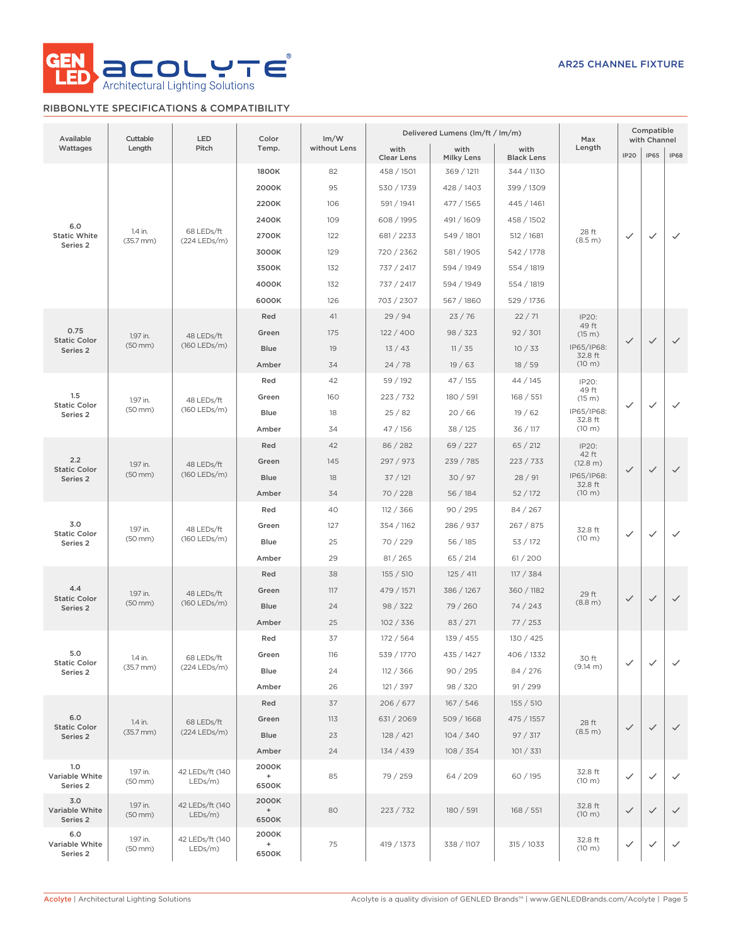

# RIBBONLYTE SPECIFICATIONS & COMPATIBILITY

| Available                         | Cuttable                         | LED                           | Color                                              | Im/W         |                           | Delivered Lumens (lm/ft / lm/m) | Max                       | Compatible<br>with Channel |              |              |              |              |
|-----------------------------------|----------------------------------|-------------------------------|----------------------------------------------------|--------------|---------------------------|---------------------------------|---------------------------|----------------------------|--------------|--------------|--------------|--------------|
| Wattages                          | Length                           | Pitch                         | Temp.                                              | without Lens | with<br><b>Clear Lens</b> | with<br><b>Milky Lens</b>       | with<br><b>Black Lens</b> | Length                     | <b>IP20</b>  | <b>IP65</b>  | <b>IP68</b>  |              |
|                                   |                                  |                               | 1800K                                              | 82           | 458 / 1501                | 369 / 1211                      | 344 / 1130                |                            |              |              |              |              |
|                                   |                                  |                               | 2000K                                              | 95           | 530 / 1739                | 428 / 1403                      | 399 / 1309                |                            |              |              |              |              |
|                                   |                                  |                               | 2200K                                              | 106          | 591 / 1941                | 477 / 1565                      | 445 / 1461                |                            |              |              |              |              |
| 6.0                               |                                  |                               | 2400K                                              | 109          | 608 / 1995                | 491/1609                        | 458 / 1502                |                            |              |              |              |              |
| <b>Static White</b>               | 1.4 in.<br>$(35.7 \, \text{mm})$ | 68 LEDs/ft<br>(224 LEDs/m)    | 2700K                                              | 122          | 681 / 2233                | 549 / 1801                      | 512 / 1681                | 28 ft<br>(8.5 m)           | $\checkmark$ | $\checkmark$ | $\checkmark$ |              |
| Series <sub>2</sub>               |                                  |                               |                                                    | 3000K        | 129                       | 720 / 2362                      | 581 / 1905                | 542 / 1778                 |              |              |              |              |
|                                   |                                  |                               | 3500K                                              | 132          | 737 / 2417                | 594 / 1949                      | 554 / 1819                |                            |              |              |              |              |
|                                   |                                  |                               |                                                    |              | 4000K                     | 132                             | 737 / 2417                | 594 / 1949                 | 554 / 1819   |              |              |              |
|                                   |                                  |                               | 6000K                                              | 126          | 703 / 2307                | 567 / 1860                      | 529 / 1736                |                            |              |              |              |              |
|                                   |                                  |                               | Red                                                | 41           | 29/94                     | 23/76                           | 22/71                     | IP20:                      |              |              |              |              |
| 0.75                              | 1.97 in.                         | 48 LEDs/ft                    | Green                                              | 175          | 122/400                   | 98 / 323                        | 92 / 301                  | 49 ft<br>(15 m)            |              |              |              |              |
| <b>Static Color</b><br>Series 2   | $(50$ mm $)$                     | (160 LEDs/m)                  | <b>Blue</b>                                        | 19           | 13/43                     | 11 / 35                         | 10/33                     | IP65/IP68:                 | $\checkmark$ | $\checkmark$ | $\checkmark$ |              |
|                                   |                                  |                               | Amber                                              | 34           | 24/78                     | 19/63                           | 18/59                     | 32.8 ft<br>(10 m)          |              |              |              |              |
|                                   |                                  |                               | Red                                                | 42           | 59 / 192                  | 47 / 155                        | 44 / 145                  | IP20:                      |              |              |              |              |
| 1.5                               | 1.97 in.                         | 48 LEDs/ft                    | Green                                              | 160          | 223 / 732                 | 180 / 591                       | 168 / 551                 | 49 ft<br>(15 m)            |              |              |              |              |
| <b>Static Color</b><br>Series 2   | $(50$ mm $)$                     | (160 LEDs/m)                  |                                                    | Blue         | 18                        | 25/82                           | 20/66                     | 19/62                      | IP65/IP68:   | $\checkmark$ | $\checkmark$ | $\checkmark$ |
|                                   |                                  |                               | Amber                                              | 34           | 47 / 156                  | 38 / 125                        | 36 / 117                  | 32.8 ft<br>(10 m)          |              |              |              |              |
|                                   |                                  | 48 LEDs/ft<br>(160 LEDs/m)    | Red                                                | 42           | 86 / 282                  | 69/227                          | 65 / 212                  | IP20:                      |              |              |              |              |
| 2.2                               | 1.97 in.                         |                               | Green                                              | 145          | 297 / 973                 | 239 / 785                       | 223 / 733                 | 42 ft<br>(12.8 m)          |              |              |              |              |
| <b>Static Color</b><br>Series 2   | $(50$ mm $)$                     |                               | <b>Blue</b>                                        | 18           | 37/121                    | 30 / 97                         | 28/91                     | IP65/IP68:                 | $\checkmark$ | $\checkmark$ | $\checkmark$ |              |
|                                   |                                  |                               | Amber                                              | 34           | 70/228                    | 56/184                          | 52/172                    | 32.8 ft<br>(10 m)          |              |              |              |              |
|                                   |                                  | 48 LEDs/ft<br>(160 LEDs/m)    | Red                                                | 40           | 112 / 366                 | 90 / 295                        | 84 / 267                  |                            |              |              |              |              |
| 3.0                               | 1.97 in.                         |                               | Green                                              | 127          | 354 / 1162                | 286 / 937                       | 267 / 875                 | 32.8 ft                    |              |              |              |              |
| <b>Static Color</b><br>Series 2   | $(50$ mm $)$                     |                               |                                                    | Blue         | 25                        | 70 / 229                        | 56/185                    | 53/172                     | (10 m)       | $\checkmark$ | $\checkmark$ | $\checkmark$ |
|                                   |                                  |                               | Amber                                              | 29           | 81 / 265                  | 65 / 214                        | 61/200                    |                            |              |              |              |              |
|                                   |                                  |                               | Red                                                | 38           | 155 / 510                 | 125/411                         | 117 / 384                 |                            |              |              |              |              |
| 4.4                               | 1.97 in.                         | 48 LEDs/ft<br>(160 LEDs/m)    | Green                                              | 117          | 479 / 1571                | 386 / 1267                      | 360 / 1182                | 29 ft                      |              |              |              |              |
| <b>Static Color</b><br>Series 2   | $(50$ mm $)$                     |                               | <b>Blue</b>                                        | 24           | 98 / 322                  | 79 / 260                        | 74/243                    | (8.8 m)                    | $\checkmark$ | $\checkmark$ | $\checkmark$ |              |
|                                   |                                  |                               | Amber                                              | 25           | 102 / 336                 | 83 / 271                        | 77/253                    |                            |              |              |              |              |
|                                   |                                  |                               | Red                                                | 37           | 172 / 564                 | 139 / 455                       | 130 / 425                 |                            |              |              |              |              |
| 5.0                               | 1.4 in.                          | 68 LEDs/ft                    | Green                                              | 116          | 539 / 1770                | 435 / 1427                      | 406 / 1332                | 30 ft                      |              |              |              |              |
| <b>Static Color</b><br>Series 2   | $(35.7 \, \text{mm})$            | (224 LEDs/m)                  | Blue                                               | 24           | 112 / 366                 | 90 / 295                        | 84 / 276                  | (9.14 m)                   | $\checkmark$ | ✓            | $\checkmark$ |              |
|                                   |                                  |                               | Amber                                              | 26           | 121 / 397                 | 98 / 320                        | 91 / 299                  |                            |              |              |              |              |
|                                   |                                  |                               | Red                                                | 37           | 206 / 677                 | 167 / 546                       | 155 / 510                 |                            |              |              |              |              |
| 6.0                               | 1.4 in.                          | 68 LEDs/ft                    | Green                                              | 113          | 631/2069                  | 509/1668                        | 475 / 1557                | 28 ft                      |              |              |              |              |
| <b>Static Color</b><br>Series 2   | $(35.7 \, \text{mm})$            | (224 LEDs/m)                  | Blue                                               | 23           | 128 / 421                 | 104 / 340                       | 97 / 317                  | (8.5 m)                    | $\checkmark$ | $\checkmark$ | $\checkmark$ |              |
|                                   |                                  |                               | Amber                                              | 24           | 134 / 439                 | 108 / 354                       | 101 / 331                 |                            |              |              |              |              |
| 1.0<br>Variable White<br>Series 2 | 1.97 in.<br>(50 mm)              | 42 LEDs/ft (140<br>$LEDs/m$ ) | 2000K<br>$\begin{array}{c} + \end{array}$<br>6500K | 85           | 79 / 259                  | 64 / 209                        | 60/195                    | 32.8 ft<br>(10 m)          | $\checkmark$ | $\checkmark$ | $\checkmark$ |              |
| 3.0<br>Variable White<br>Series 2 | 1.97 in.<br>$(50$ mm $)$         | 42 LEDs/ft (140<br>$LEDs/m$ ) | 2000K<br>$+$<br>6500K                              | 80           | 223 / 732                 | 180 / 591                       | 168 / 551                 | 32.8 ft<br>(10 m)          | $\checkmark$ | $\checkmark$ | $\checkmark$ |              |
| 6.0<br>Variable White<br>Series 2 | 1.97 in.<br>(50 mm)              | 42 LEDs/ft (140<br>$LEDs/m$ ) | 2000K<br>$\begin{array}{c} + \end{array}$<br>6500K | 75           | 419 / 1373                | 338 / 1107                      | 315 / 1033                | 32.8 ft<br>(10 m)          | $\checkmark$ | ✓            | $\checkmark$ |              |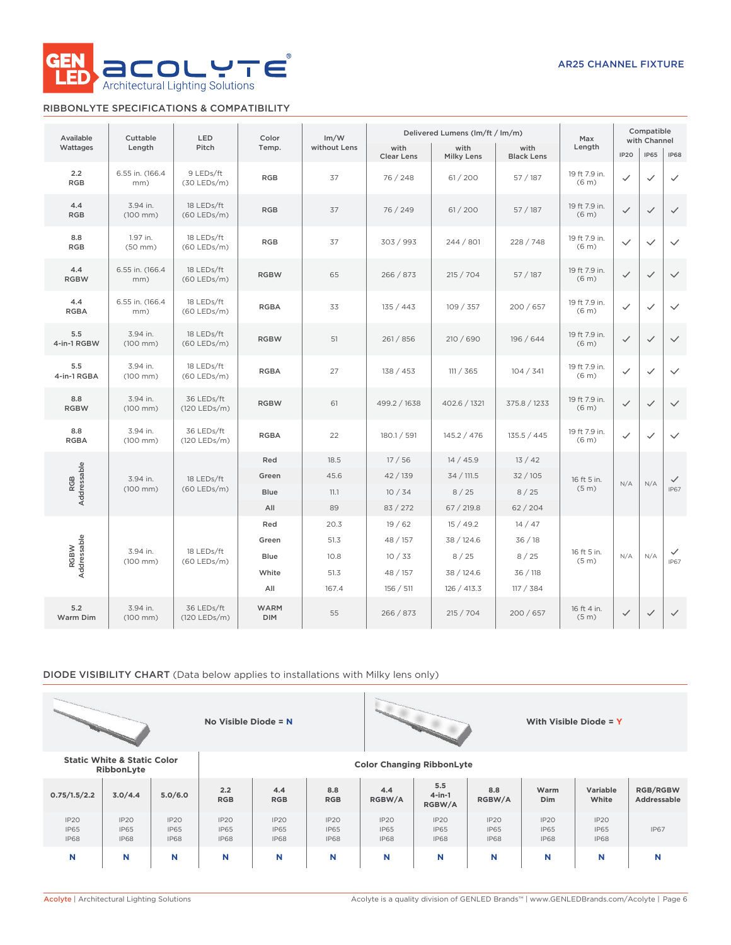

# RIBBONLYTE SPECIFICATIONS & COMPATIBILITY

| Available          | Cuttable                         | LED                         | Color                     | Im/W         |                           | Delivered Lumens (lm/ft / lm/m) |                           | Max                                | Compatible<br>with Channel |              |                             |
|--------------------|----------------------------------|-----------------------------|---------------------------|--------------|---------------------------|---------------------------------|---------------------------|------------------------------------|----------------------------|--------------|-----------------------------|
| Wattages           | Length                           | Pitch                       | Temp.                     | without Lens | with<br><b>Clear Lens</b> | with<br><b>Milky Lens</b>       | with<br><b>Black Lens</b> | Length                             | <b>IP20</b>                | <b>IP65</b>  | <b>IP68</b>                 |
| 2.2<br><b>RGB</b>  | 6.55 in. (166.4)<br>mm)          | 9 LEDs/ft<br>$(30$ LEDs/m)  | <b>RGB</b>                | 37           | 76 / 248                  | 61 / 200                        | 57 / 187                  | 19 ft 7.9 in.<br>(6 <sub>m</sub> ) | ✓                          | $\checkmark$ | $\checkmark$                |
| 4.4<br><b>RGB</b>  | 3.94 in.<br>$(100$ mm $)$        | 18 LEDs/ft<br>$(60$ LEDs/m) | <b>RGB</b>                | 37           | 76 / 249                  | 61 / 200                        | 57 / 187                  | 19 ft 7.9 in.<br>(6 <sub>m</sub> ) | $\checkmark$               | $\checkmark$ | $\checkmark$                |
| 8.8<br><b>RGB</b>  | 1.97 in.<br>$(50$ mm $)$         | 18 LEDs/ft<br>$(60$ LEDs/m) | <b>RGB</b>                | 37           | 303 / 993                 | 244 / 801                       | 228 / 748                 | 19 ft 7.9 in.<br>(6 <sub>m</sub> ) | $\checkmark$               | $\checkmark$ | $\checkmark$                |
| 4.4<br><b>RGBW</b> | 6.55 in. (166.4<br>mm)           | 18 LEDs/ft<br>$(60$ LEDs/m) | <b>RGBW</b>               | 65           | 266 / 873                 | 215 / 704                       | 57/187                    | 19 ft 7.9 in.<br>(6 <sub>m</sub> ) | $\checkmark$               | $\checkmark$ | $\checkmark$                |
| 4.4<br><b>RGBA</b> | 6.55 in. (166.4<br>mm)           | 18 LEDs/ft<br>$(60$ LEDs/m) | <b>RGBA</b>               | 33           | 135 / 443                 | 109 / 357                       | 200 / 657                 | 19 ft 7.9 in.<br>(6 <sub>m</sub> ) | $\checkmark$               | $\checkmark$ | $\checkmark$                |
| 5.5<br>4-in-1 RGBW | 3.94 in.<br>$(100$ mm $)$        | 18 LEDs/ft<br>$(60$ LEDs/m) | <b>RGBW</b>               | 51           | 261 / 856                 | 210 / 690                       | 196 / 644                 | 19 ft 7.9 in.<br>(6 <sub>m</sub> ) | $\checkmark$               | $\checkmark$ | $\checkmark$                |
| 5.5<br>4-in-1 RGBA | 3.94 in.<br>$(100$ mm $)$        | 18 LEDs/ft<br>(60 LEDs/m)   | <b>RGBA</b>               | 27           | 138 / 453                 | 111 / 365                       | 104 / 341                 | 19 ft 7.9 in.<br>(6 <sub>m</sub> ) | $\checkmark$               | $\checkmark$ | $\checkmark$                |
| 8.8<br><b>RGBW</b> | 3.94 in.<br>$(100 \, \text{mm})$ | 36 LEDs/ft<br>(120 LEDs/m)  | <b>RGBW</b>               | 61           | 499.2 / 1638              | 402.6 / 1321                    | 375.8 / 1233              | 19 ft 7.9 in.<br>(6 <sub>m</sub> ) | $\checkmark$               | $\checkmark$ | $\checkmark$                |
| 8.8<br><b>RGBA</b> | 3.94 in.<br>$(100$ mm $)$        | 36 LEDs/ft<br>(120 LEDs/m)  | <b>RGBA</b>               | 22           | 180.1 / 591               | 145.2 / 476                     | 135.5 / 445               | 19 ft 7.9 in.<br>(6 <sub>m</sub> ) | $\checkmark$               | $\checkmark$ | $\checkmark$                |
|                    |                                  |                             | Red                       | 18.5         | 17/56                     | 14/45.9                         | 13/42                     |                                    |                            |              |                             |
| RGB<br>Addressable | 3.94 in.<br>$(100$ mm $)$        | 18 LEDs/ft<br>$(60$ LEDs/m) | Green                     | 45.6         | 42 / 139                  | 34 / 111.5                      | 32/105                    | 16 ft 5 in.<br>(5 <sub>m</sub> )   | N/A                        | N/A          | $\checkmark$<br><b>IP67</b> |
|                    |                                  |                             | Blue                      | 11.1         | 10/34                     | 8/25                            | 8/25                      |                                    |                            |              |                             |
|                    |                                  |                             | All<br>Red                | 89<br>20.3   | 83 / 272<br>19/62         | 67 / 219.8<br>15/49.2           | 62/204<br>14/47           |                                    |                            |              |                             |
|                    |                                  |                             | Green                     | 51.3         | 48 / 157                  | 38 / 124.6                      | 36/18                     |                                    |                            |              |                             |
| RGBW               | 3.94 in.                         | 18 LEDs/ft                  | Blue                      | 10.8         | 10/33                     | 8/25                            | 8/25                      | 16 ft 5 in.                        | N/A                        | N/A          | $\checkmark$                |
| Addressable        | $(100$ mm $)$                    | (60 LEDs/m)                 | White                     | 51.3         | 48 / 157                  | 38 / 124.6                      | 36/118                    | (5 <sub>m</sub> )                  |                            |              | <b>IP67</b>                 |
|                    |                                  |                             | All                       | 167.4        | 156 / 511                 | 126 / 413.3                     | 117 / 384                 |                                    |                            |              |                             |
| 5.2<br>Warm Dim    | 3.94 in.<br>$(100$ mm)           | 36 LEDs/ft<br>(120 LEDs/m)  | <b>WARM</b><br><b>DIM</b> | 55           | 266 / 873                 | 215 / 704                       | 200/657                   | 16 ft 4 in.<br>(5 <sub>m</sub> )   | $\checkmark$               | $\checkmark$ | $\checkmark$                |

# DIODE VISIBILITY CHART (Data below applies to installations with Milky lens only)

|                                    |                                                      |                                    | No Visible Diode = $N$             |                                    |                                    |                                    |                                    |                                    |                                    | With Visible Diode = $Y$           |                                |  |
|------------------------------------|------------------------------------------------------|------------------------------------|------------------------------------|------------------------------------|------------------------------------|------------------------------------|------------------------------------|------------------------------------|------------------------------------|------------------------------------|--------------------------------|--|
|                                    | <b>Static White &amp; Static Color</b><br>RibbonLyte |                                    |                                    | <b>Color Changing RibbonLyte</b>   |                                    |                                    |                                    |                                    |                                    |                                    |                                |  |
| 0.75/1.5/2.2                       | 3.0/4.4                                              | 5.0/6.0                            | 2.2<br><b>RGB</b>                  | 4.4<br><b>RGB</b>                  | 8.8<br><b>RGB</b>                  | 4.4<br>RGBW/A                      | 5.5<br>$4$ -in-1<br>RGBW/A         | 8.8<br>RGBW/A                      | Warm<br><b>Dim</b>                 | Variable<br>White                  | <b>RGB/RGBW</b><br>Addressable |  |
| IP2O<br><b>IP65</b><br><b>IP68</b> | IP2O<br><b>IP65</b><br><b>IP68</b>                   | IP2O<br><b>IP65</b><br><b>IP68</b> | IP20<br><b>IP65</b><br><b>IP68</b> | IP2O<br><b>IP65</b><br><b>IP68</b> | IP2O<br><b>IP65</b><br><b>IP68</b> | IP2O<br><b>IP65</b><br><b>IP68</b> | IP2O<br><b>IP65</b><br><b>IP68</b> | IP2O<br><b>IP65</b><br><b>IP68</b> | IP2O<br><b>IP65</b><br><b>IP68</b> | IP20<br><b>IP65</b><br><b>IP68</b> | <b>IP67</b>                    |  |
| N                                  | N                                                    | N                                  | N                                  | N                                  | N                                  | N                                  | N                                  | N                                  | N                                  | N                                  | N                              |  |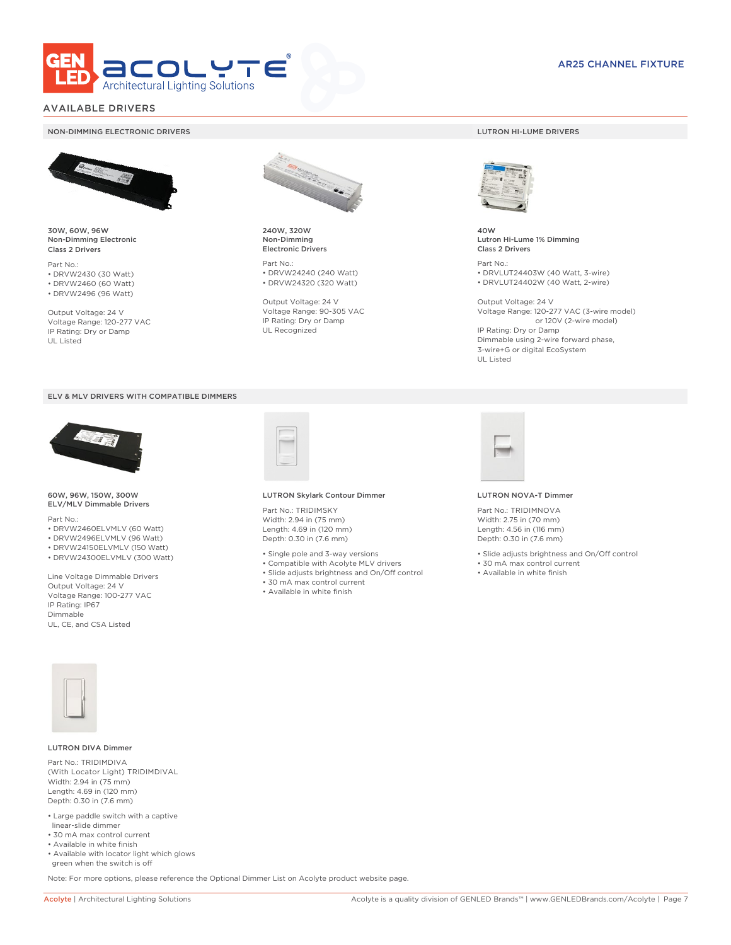

# AVAILABLE DRIVERS

### NON-DIMMING ELECTRONIC DRIVERS LUTRON HI-LUME DRIVERS



30W, 60W, 96W Non-Dimming Electronic Class 2 Drivers

Part No.: • DRVW2430 (30 Watt) • DRVW2460 (60 Watt)

• DRVW2496 (96 Watt)

Output Voltage: 24 V Voltage Range: 120-277 VAC IP Rating: Dry or Damp UL Listed





60W, 96W, 150W, 300W ELV/MLV Dimmable Drivers

Part No.:

- DRVW2460ELVMLV (60 Watt)
- DRVW2496ELVMLV (96 Watt)
- DRVW24150ELVMLV (150 Watt) • DRVW24300ELVMLV (300 Watt)

Line Voltage Dimmable Drivers Output Voltage: 24 V Voltage Range: 100-277 VAC IP Rating: IP67 Dimmable UL, CE, and CSA Listed



240W, 320W Non-Dimming Electronic Drivers

Part No.: • DRVW24240 (240 Watt) • DRVW24320 (320 Watt)

Output Voltage: 24 V Voltage Range: 90-305 VAC IP Rating: Dry or Damp UL Recognized



40W Lutron Hi-Lume 1% Dimming Class 2 Drivers

Part No.: • DRVLUT24403W (40 Watt, 3-wire) • DRVLUT24402W (40 Watt, 2-wire)

Output Voltage: 24 V Voltage Range: 120-277 VAC (3-wire model) or 120V (2-wire model) IP Rating: Dry or Damp Dimmable using 2-wire forward phase, 3-wire+G or digital EcoSystem UL Listed



### LUTRON NOVA-T Dimmer

Part No.: TRIDIMNOVA Width: 2.75 in (70 mm) Length: 4.56 in (116 mm) Depth: 0.30 in (7.6 mm)

- Slide adjusts brightness and On/Off control
- 30 mA max control current
- Available in white finish



### LUTRON DIVA Dimmer

Part No.: TRIDIMDIVA (With Locator Light) TRIDIMDIVAL Width: 2.94 in (75 mm) Length: 4.69 in (120 mm) Depth: 0.30 in (7.6 mm)

- Large paddle switch with a captive linear-slide dimmer
- 30 mA max control current
- Available in white finish
- Available with locator light which glows green when the switch is off

Note: For more options, please reference the Optional Dimmer List on Acolyte product website page.

Part No.: TRIDIMSKY Width: 2.94 in (75 mm) Length: 4.69 in (120 mm) Depth: 0.30 in (7.6 mm)

• Single pole and 3-way versions

LUTRON Skylark Contour Dimmer

- Compatible with Acolyte MLV drivers
- Slide adjusts brightness and On/Off control
- 30 mA max control current
- Available in white finish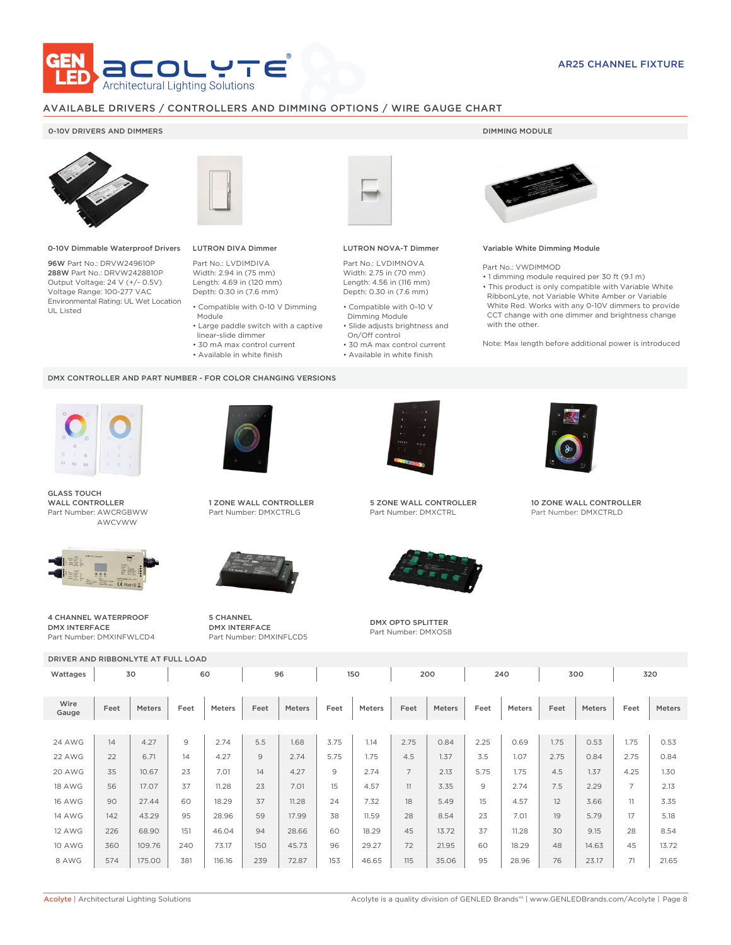

# AVAILABLE DRIVERS / CONTROLLERS AND DIMMING OPTIONS / WIRE GAUGE CHART

### 0-10V DRIVERS AND DIMMERS **DIMMING MODULE**



0-10V Dimmable Waterproof Drivers

96W Part No.: DRVW249610P 288W Part No.: DRVW2428810P Output Voltage: 24 V (+/- 0.5V) Voltage Range: 100-277 VAC Environmental Rating: UL Wet Location UL Listed



Module

DMX CONTROLLER AND PART NUMBER - FOR COLOR CHANGING VERSIONS

 linear-slide dimmer • 30 mA max control current • Available in white finish

# LUTRON DIVA Dimmer

Part No.: LVDIMDIVA Width: 2.94 in (75 mm) Length: 4.69 in (120 mm) Depth: 0.30 in (7.6 mm) • Compatible with 0-10 V Dimming

• Large paddle switch with a captive

- 
- Compatible with 0-10 V Dimming Module
	- Slide adjusts brightness and On/Off control

LUTRON NOVA-T Dimmer Part No.: LVDIMNOVA Width: 2.75 in (70 mm) Length: 4.56 in (116 mm) Depth: 0.30 in (7.6 mm)

• 30 mA max control current • Available in white finish



### Variable White Dimming Module

Part No.: VWDIMMOD

- 1 dimming module required per 30 ft (9.1 m)
- This product is only compatible with Variable White RibbonLyte, not Variable White Amber or Variable White Red. Works with any 0-10V dimmers to provide CCT change with one dimmer and brightness change with the other.

Note: Max length before additional power is introduced



GLASS TOUCH WALL CONTROLLER Part Number: AWCRGBWW AWCVWW



4 CHANNEL WATERPROOF DMX INTERFACE Part Number: DMXINFWLCD4



1 ZONE WALL CONTROLLER Part Number: DMXCTRLG



5 CHANNEL DMX INTERFACE Part Number: DMXINFLCD5



5 ZONE WALL CONTROLLER Part Number: DMXCTRL



DMX OPTO SPLITTER Part Number: DMXOS8



10 ZONE WALL CONTROLLER Part Number: DMXCTRLD

|               | DRIVER AND RIBBONLYTE AT FULL LOAD |        |                |               |      |        |      |               |                |               |      |        |      |               |                |        |
|---------------|------------------------------------|--------|----------------|---------------|------|--------|------|---------------|----------------|---------------|------|--------|------|---------------|----------------|--------|
| Wattages      | 30                                 |        |                | 60            |      | 96     |      | 150           |                | 200           |      | 240    | 300  |               | 320            |        |
| Wire<br>Gauge | Feet                               | Meters | Feet           | <b>Meters</b> | Feet | Meters | Feet | <b>Meters</b> | Feet           | <b>Meters</b> | Feet | Meters | Feet | <b>Meters</b> | Feet           | Meters |
|               |                                    |        |                |               |      |        |      |               |                |               |      |        |      |               |                |        |
| 24 AWG        | 14                                 | 4.27   | $\overline{9}$ | 2.74          | 5.5  | 1.68   | 3.75 | 1.14          | 2.75           | 0.84          | 2.25 | 0.69   | 1.75 | 0.53          | 1.75           | 0.53   |
| 22 AWG        | 22                                 | 6.71   | 14             | 4.27          | 9    | 2.74   | 5.75 | 1.75          | 4.5            | 1.37          | 3.5  | 1.07   | 2.75 | 0.84          | 2.75           | 0.84   |
| 20 AWG        | 35                                 | 10.67  | 23             | 7.01          | 14   | 4.27   | 9    | 2.74          | $\overline{7}$ | 2.13          | 5.75 | 1.75   | 4.5  | 1.37          | 4.25           | 1.30   |
| <b>18 AWG</b> | 56                                 | 17.07  | 37             | 11.28         | 23   | 7.01   | 15   | 4.57          | 11             | 3.35          | 9    | 2.74   | 7.5  | 2.29          | $\overline{7}$ | 2.13   |
| <b>16 AWG</b> | 90                                 | 27.44  | 60             | 18.29         | 37   | 11.28  | 24   | 7.32          | 18             | 5.49          | 15   | 4.57   | 12   | 3.66          | 11             | 3.35   |
| <b>14 AWG</b> | 142                                | 43.29  | 95             | 28.96         | 59   | 17.99  | 38   | 11.59         | 28             | 8.54          | 23   | 7.01   | 19   | 5.79          | 17             | 5.18   |
| <b>12 AWG</b> | 226                                | 68.90  | 151            | 46.04         | 94   | 28.66  | 60   | 18.29         | 45             | 13.72         | 37   | 11.28  | 30   | 9.15          | 28             | 8.54   |
| 10 AWG        | 360                                | 109.76 | 240            | 73.17         | 150  | 45.73  | 96   | 29.27         | 72             | 21.95         | 60   | 18.29  | 48   | 14.63         | 45             | 13.72  |
| 8 AWG         | 574                                | 175.00 | 381            | 116.16        | 239  | 72.87  | 153  | 46.65         | 115            | 35.06         | 95   | 28.96  | 76   | 23.17         | 71             | 21.65  |